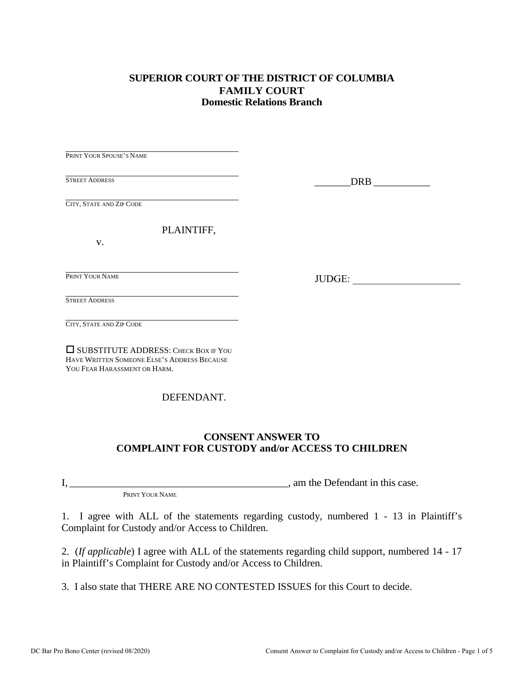## **SUPERIOR COURT OF THE DISTRICT OF COLUMBIA FAMILY COURT Domestic Relations Branch**

| PRINT YOUR SPOUSE'S NAME                                                                                            |        |
|---------------------------------------------------------------------------------------------------------------------|--------|
| <b>STREET ADDRESS</b>                                                                                               |        |
| CITY, STATE AND ZIP CODE                                                                                            |        |
| PLAINTIFF,                                                                                                          |        |
| V.                                                                                                                  |        |
| PRINT YOUR NAME                                                                                                     |        |
|                                                                                                                     | JUDGE: |
| <b>STREET ADDRESS</b>                                                                                               |        |
| CITY, STATE AND ZIP CODE                                                                                            |        |
| SUBSTITUTE ADDRESS: CHECK BOX IF YOU<br>HAVE WRITTEN SOMEONE ELSE'S ADDRESS BECAUSE<br>YOU FEAR HARASSMENT OR HARM. |        |

## DEFENDANT.

### **CONSENT ANSWER TO COMPLAINT FOR CUSTODY and/or ACCESS TO CHILDREN**

I, \_\_\_\_\_\_\_\_\_\_\_\_\_\_\_\_\_\_\_\_\_\_\_\_\_\_\_\_\_\_\_\_\_\_\_\_\_\_\_\_\_, am the Defendant in this case.

PRINT YOUR NAME

1. I agree with ALL of the statements regarding custody, numbered 1 - 13 in Plaintiff's Complaint for Custody and/or Access to Children.

2. (*If applicable*) I agree with ALL of the statements regarding child support, numbered 14 - 17 in Plaintiff's Complaint for Custody and/or Access to Children.

3. I also state that THERE ARE NO CONTESTED ISSUES for this Court to decide.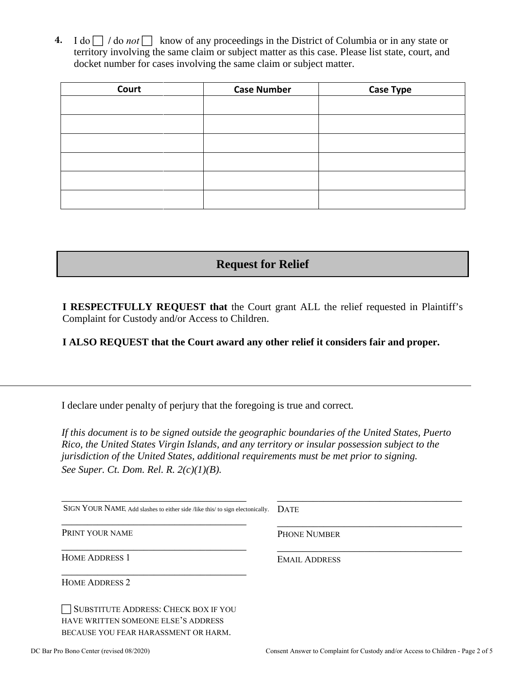**4.** I do  $\Box$  / do not  $\Box$  know of any proceedings in the District of Columbia or in any state or territory involving the same claim or subject matter as this case. Please list state, court, and docket number for cases involving the same claim or subject matter.

| Court | <b>Case Number</b> | <b>Case Type</b> |
|-------|--------------------|------------------|
|       |                    |                  |
|       |                    |                  |
|       |                    |                  |
|       |                    |                  |
|       |                    |                  |
|       |                    |                  |

**Request for Relief**

**I RESPECTFULLY REQUEST that** the Court grant ALL the relief requested in Plaintiff's Complaint for Custody and/or Access to Children.

**I ALSO REQUEST that the Court award any other relief it considers fair and proper.**

I declare under penalty of perjury that the foregoing is true and correct*.* 

*If this document is to be signed outside the geographic boundaries of the United States, Puerto Rico, the United States Virgin Islands, and any territory or insular possession subject to the jurisdiction of the United States, additional requirements must be met prior to signing. See Super. Ct. Dom. Rel. R. 2(c)(1)(B).* 

| SIGN YOUR NAME, Add slashes to either side /like this/ to sign electonically.                                              | <b>DATE</b>          |
|----------------------------------------------------------------------------------------------------------------------------|----------------------|
| PRINT YOUR NAME                                                                                                            | <b>PHONE NUMBER</b>  |
| <b>HOME ADDRESS 1</b>                                                                                                      | <b>EMAIL ADDRESS</b> |
| <b>HOME ADDRESS 2</b>                                                                                                      |                      |
| <b>SUBSTITUTE ADDRESS: CHECK BOX IF YOU</b><br>HAVE WRITTEN SOMEONE ELSE'S ADDRESS<br>BECAUSE YOU FEAR HARASSMENT OR HARM. |                      |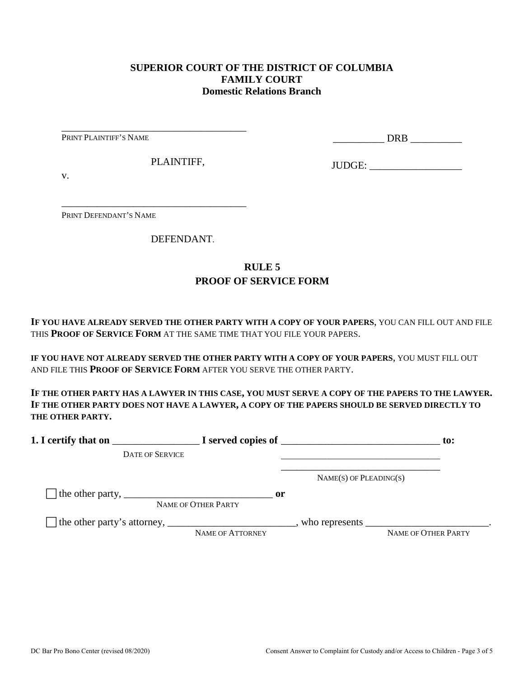#### **SUPERIOR COURT OF THE DISTRICT OF COLUMBIA FAMILY COURT Domestic Relations Branch**

PRINT PLAINTIFF'S NAME

\_\_\_\_\_\_\_\_\_\_ DRB \_\_\_\_\_\_\_\_\_\_

PLAINTIFF,

\_\_\_\_\_\_\_\_\_\_\_\_\_\_\_\_\_\_\_\_\_\_\_\_\_\_\_\_\_\_\_\_\_\_\_\_

\_\_\_\_\_\_\_\_\_\_\_\_\_\_\_\_\_\_\_\_\_\_\_\_\_\_\_\_\_\_\_\_\_\_\_\_

JUDGE: \_\_\_\_\_\_\_\_\_\_\_\_\_\_\_\_\_\_

v.

PRINT DEFENDANT'S NAME

DEFENDANT.

# **RULE 5 PROOF OF SERVICE FORM**

**IF YOU HAVE ALREADY SERVED THE OTHER PARTY WITH A COPY OF YOUR PAPERS**, YOU CAN FILL OUT AND FILE THIS **PROOF OF SERVICE FORM** AT THE SAME TIME THAT YOU FILE YOUR PAPERS.

**IF YOU HAVE NOT ALREADY SERVED THE OTHER PARTY WITH A COPY OF YOUR PAPERS**, YOU MUST FILL OUT AND FILE THIS **PROOF OF SERVICE FORM** AFTER YOU SERVE THE OTHER PARTY.

**IF THE OTHER PARTY HAS A LAWYER IN THIS CASE, YOU MUST SERVE A COPY OF THE PAPERS TO THE LAWYER. IF THE OTHER PARTY DOES NOT HAVE A LAWYER, A COPY OF THE PAPERS SHOULD BE SERVED DIRECTLY TO THE OTHER PARTY.** 

| 1. I certify that on                                                          |                         |      |                             | $\mathbf{to}$ :     |
|-------------------------------------------------------------------------------|-------------------------|------|-----------------------------|---------------------|
| <b>DATE OF SERVICE</b>                                                        |                         |      |                             |                     |
|                                                                               |                         |      | $NAME(S)$ OF PLEADING $(S)$ |                     |
| The other party, $\frac{1}{\sqrt{1-\frac{1}{2}}}\left\{1-\frac{1}{2}\right\}$ | NAME OF OTHER PARTY     | - or |                             |                     |
|                                                                               | <b>NAME OF ATTORNEY</b> |      |                             | NAME OF OTHER PARTY |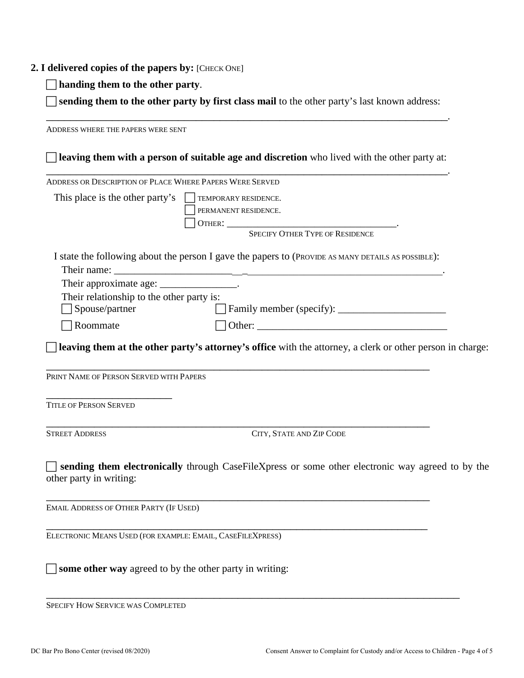#### **2. I delivered copies of the papers by:** [CHECK ONE]

**handing them to the other party**.

 **sending them to the other party by first class mail** to the other party's last known address: \_\_\_\_\_\_\_\_\_\_\_\_\_\_\_\_\_\_\_\_\_\_\_\_\_\_\_\_\_\_\_\_\_\_\_\_\_\_\_\_\_\_\_\_\_\_\_\_\_\_\_\_\_\_\_\_\_\_\_\_\_\_\_\_\_\_\_.

ADDRESS WHERE THE PAPERS WERE SENT **leaving them with a person of suitable age and discretion** who lived with the other party at: \_\_\_\_\_\_\_\_\_\_\_\_\_\_\_\_\_\_\_\_\_\_\_\_\_\_\_\_\_\_\_\_\_\_\_\_\_\_\_\_\_\_\_\_\_\_\_\_\_\_\_\_\_\_\_\_\_\_\_\_\_\_\_\_\_\_\_. ADDRESS OR DESCRIPTION OF PLACE WHERE PAPERS WERE SERVED This place is the other party's  $\Box$  TEMPORARY RESIDENCE. PERMANENT RESIDENCE. OTHER: \_\_\_\_\_\_\_\_\_\_\_\_\_\_\_\_\_\_\_\_\_\_\_\_\_\_\_\_\_\_\_\_\_. SPECIFY OTHER TYPE OF RESIDENCE I state the following about the person I gave the papers to (PROVIDE AS MANY DETAILS AS POSSIBLE): Their name: Their approximate age: \_\_\_\_\_\_\_\_\_\_\_\_\_\_\_\_. Their relationship to the other party is: Spouse/partner Family member (specify): \_\_\_\_\_\_\_\_\_\_\_\_\_\_\_\_\_\_\_\_\_  $\Box$  Roommate  $\Box$  Other: **leaving them at the other party's attorney's office** with the attorney, a clerk or other person in charge: \_\_\_\_\_\_\_\_\_\_\_\_\_\_\_\_\_\_\_\_\_\_\_\_\_\_\_\_\_\_\_\_\_\_\_\_\_\_\_\_\_\_\_\_\_\_\_\_\_\_\_\_\_\_\_\_\_\_\_\_\_\_\_\_ PRINT NAME OF PERSON SERVED WITH PAPERS \_\_\_\_\_\_\_\_\_\_\_\_\_\_\_\_\_\_\_\_\_ TITLE OF PERSON SERVED \_\_\_\_\_\_\_\_\_\_\_\_\_\_\_\_\_\_\_\_\_\_\_\_\_\_\_\_\_\_\_\_\_\_\_\_\_\_\_\_\_\_\_\_\_\_\_\_\_\_\_\_\_\_\_\_\_\_\_\_\_\_\_\_ STREET ADDRESS CITY, STATE AND ZIP CODE **sending them electronically** through CaseFileXpress or some other electronic way agreed to by the other party in writing: \_\_\_\_\_\_\_\_\_\_\_\_\_\_\_\_\_\_\_\_\_\_\_\_\_\_\_\_\_\_\_\_\_\_\_\_\_\_\_\_\_\_\_\_\_\_\_\_\_\_\_\_\_\_\_\_\_\_\_\_\_\_\_\_ EMAIL ADDRESS OF OTHER PARTY (IF USED) \_\_\_\_\_\_\_\_\_\_\_\_\_\_\_\_\_\_\_\_\_\_\_\_\_\_\_\_\_\_\_\_\_\_\_\_\_\_\_\_\_\_\_\_\_\_\_\_\_\_\_\_\_\_\_\_\_\_\_\_\_\_\_\_ ELECTRONIC MEANS USED (FOR EXAMPLE: EMAIL, CASEFILEXPRESS) **some other way** agreed to by the other party in writing:

\_\_\_\_\_\_\_\_\_\_\_\_\_\_\_\_\_\_\_\_\_\_\_\_\_\_\_\_\_\_\_\_\_\_\_\_\_\_\_\_\_\_\_\_\_\_\_\_\_\_\_\_\_\_\_\_\_\_\_\_\_\_\_\_\_\_\_\_\_ SPECIFY HOW SERVICE WAS COMPLETED